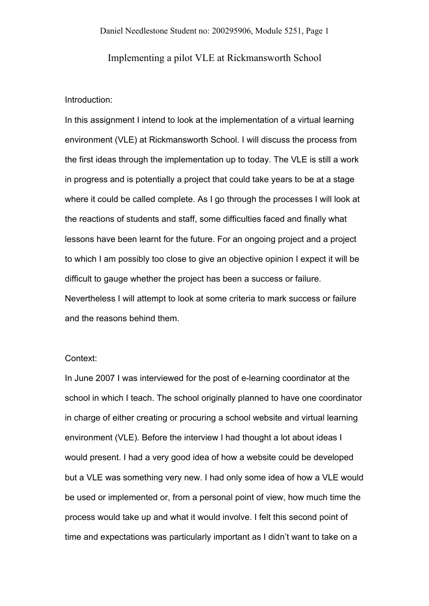Implementing a pilot VLE at Rickmansworth School

# Introduction:

In this assignment I intend to look at the implementation of a virtual learning environment (VLE) at Rickmansworth School. I will discuss the process from the first ideas through the implementation up to today. The VLE is still a work in progress and is potentially a project that could take years to be at a stage where it could be called complete. As I go through the processes I will look at the reactions of students and staff, some difficulties faced and finally what lessons have been learnt for the future. For an ongoing project and a project to which I am possibly too close to give an objective opinion I expect it will be difficult to gauge whether the project has been a success or failure. Nevertheless I will attempt to look at some criteria to mark success or failure and the reasons behind them.

# Context:

In June 2007 I was interviewed for the post of e-learning coordinator at the school in which I teach. The school originally planned to have one coordinator in charge of either creating or procuring a school website and virtual learning environment (VLE). Before the interview I had thought a lot about ideas I would present. I had a very good idea of how a website could be developed but a VLE was something very new. I had only some idea of how a VLE would be used or implemented or, from a personal point of view, how much time the process would take up and what it would involve. I felt this second point of time and expectations was particularly important as I didn't want to take on a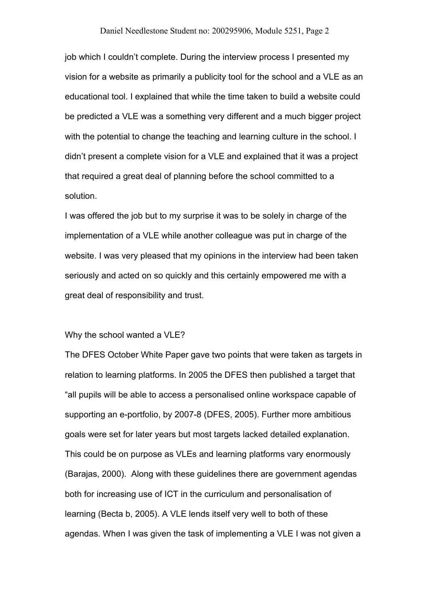job which I couldn't complete. During the interview process I presented my vision for a website as primarily a publicity tool for the school and a VLE as an educational tool. I explained that while the time taken to build a website could be predicted a VLE was a something very different and a much bigger project with the potential to change the teaching and learning culture in the school. I didn't present a complete vision for a VLE and explained that it was a project that required a great deal of planning before the school committed to a solution.

I was offered the job but to my surprise it was to be solely in charge of the implementation of a VLE while another colleague was put in charge of the website. I was very pleased that my opinions in the interview had been taken seriously and acted on so quickly and this certainly empowered me with a great deal of responsibility and trust.

## Why the school wanted a VLE?

The DFES October White Paper gave two points that were taken as targets in relation to learning platforms. In 2005 the DFES then published a target that "all pupils will be able to access a personalised online workspace capable of supporting an e-portfolio, by 2007-8 (DFES, 2005). Further more ambitious goals were set for later years but most targets lacked detailed explanation. This could be on purpose as VLEs and learning platforms vary enormously (Barajas, 2000). Along with these guidelines there are government agendas both for increasing use of ICT in the curriculum and personalisation of learning (Becta b, 2005). A VLE lends itself very well to both of these agendas. When I was given the task of implementing a VLE I was not given a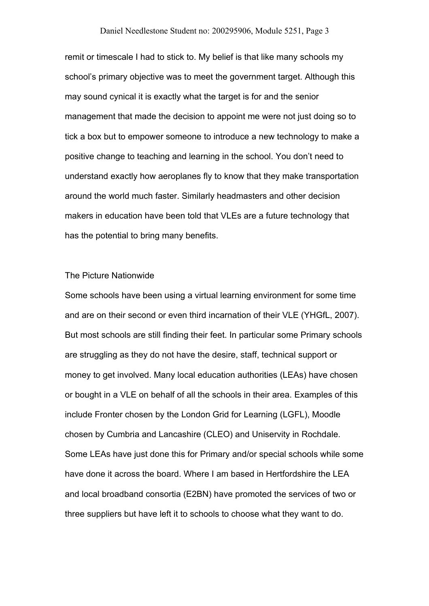remit or timescale I had to stick to. My belief is that like many schools my school's primary objective was to meet the government target. Although this may sound cynical it is exactly what the target is for and the senior management that made the decision to appoint me were not just doing so to tick a box but to empower someone to introduce a new technology to make a positive change to teaching and learning in the school. You don't need to understand exactly how aeroplanes fly to know that they make transportation around the world much faster. Similarly headmasters and other decision makers in education have been told that VLEs are a future technology that has the potential to bring many benefits.

## The Picture Nationwide

Some schools have been using a virtual learning environment for some time and are on their second or even third incarnation of their VLE (YHGfL, 2007). But most schools are still finding their feet. In particular some Primary schools are struggling as they do not have the desire, staff, technical support or money to get involved. Many local education authorities (LEAs) have chosen or bought in a VLE on behalf of all the schools in their area. Examples of this include Fronter chosen by the London Grid for Learning (LGFL), Moodle chosen by Cumbria and Lancashire (CLEO) and Uniservity in Rochdale. Some LEAs have just done this for Primary and/or special schools while some have done it across the board. Where I am based in Hertfordshire the LEA and local broadband consortia (E2BN) have promoted the services of two or three suppliers but have left it to schools to choose what they want to do.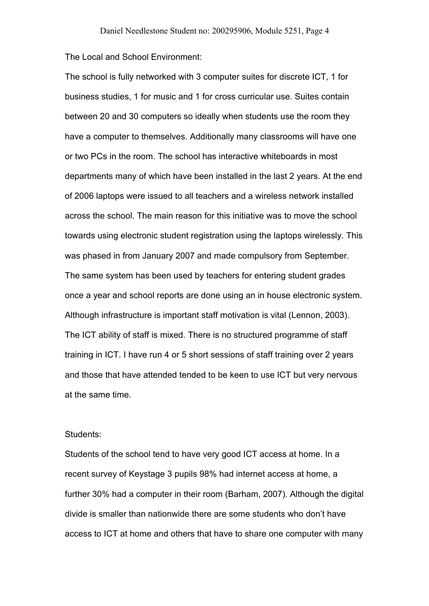The Local and School Environment:

The school is fully networked with 3 computer suites for discrete ICT, 1 for business studies, 1 for music and 1 for cross curricular use. Suites contain between 20 and 30 computers so ideally when students use the room they have a computer to themselves. Additionally many classrooms will have one or two PCs in the room. The school has interactive whiteboards in most departments many of which have been installed in the last 2 years. At the end of 2006 laptops were issued to all teachers and a wireless network installed across the school. The main reason for this initiative was to move the school towards using electronic student registration using the laptops wirelessly. This was phased in from January 2007 and made compulsory from September. The same system has been used by teachers for entering student grades once a year and school reports are done using an in house electronic system. Although infrastructure is important staff motivation is vital (Lennon, 2003). The ICT ability of staff is mixed. There is no structured programme of staff training in ICT. I have run 4 or 5 short sessions of staff training over 2 years and those that have attended tended to be keen to use ICT but very nervous at the same time.

### Students:

Students of the school tend to have very good ICT access at home. In a recent survey of Keystage 3 pupils 98% had internet access at home, a further 30% had a computer in their room (Barham, 2007). Although the digital divide is smaller than nationwide there are some students who don't have access to ICT at home and others that have to share one computer with many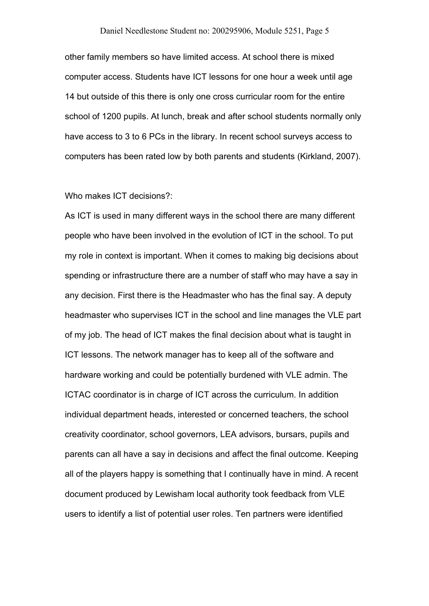other family members so have limited access. At school there is mixed computer access. Students have ICT lessons for one hour a week until age 14 but outside of this there is only one cross curricular room for the entire school of 1200 pupils. At lunch, break and after school students normally only have access to 3 to 6 PCs in the library. In recent school surveys access to computers has been rated low by both parents and students (Kirkland, 2007).

## Who makes ICT decisions?:

As ICT is used in many different ways in the school there are many different people who have been involved in the evolution of ICT in the school. To put my role in context is important. When it comes to making big decisions about spending or infrastructure there are a number of staff who may have a say in any decision. First there is the Headmaster who has the final say. A deputy headmaster who supervises ICT in the school and line manages the VLE part of my job. The head of ICT makes the final decision about what is taught in ICT lessons. The network manager has to keep all of the software and hardware working and could be potentially burdened with VLE admin. The ICTAC coordinator is in charge of ICT across the curriculum. In addition individual department heads, interested or concerned teachers, the school creativity coordinator, school governors, LEA advisors, bursars, pupils and parents can all have a say in decisions and affect the final outcome. Keeping all of the players happy is something that I continually have in mind. A recent document produced by Lewisham local authority took feedback from VLE users to identify a list of potential user roles. Ten partners were identified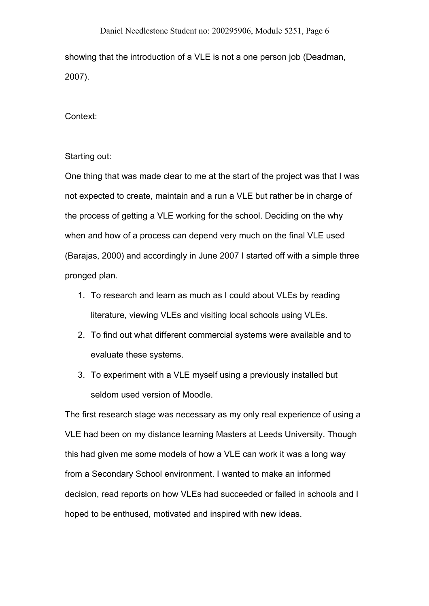showing that the introduction of a VLE is not a one person job (Deadman, 2007).

Context:

# Starting out:

One thing that was made clear to me at the start of the project was that I was not expected to create, maintain and a run a VLE but rather be in charge of the process of getting a VLE working for the school. Deciding on the why when and how of a process can depend very much on the final VLE used (Barajas, 2000) and accordingly in June 2007 I started off with a simple three pronged plan.

- 1. To research and learn as much as I could about VLEs by reading literature, viewing VLEs and visiting local schools using VLEs.
- 2. To find out what different commercial systems were available and to evaluate these systems.
- 3. To experiment with a VLE myself using a previously installed but seldom used version of Moodle.

The first research stage was necessary as my only real experience of using a VLE had been on my distance learning Masters at Leeds University. Though this had given me some models of how a VLE can work it was a long way from a Secondary School environment. I wanted to make an informed decision, read reports on how VLEs had succeeded or failed in schools and I hoped to be enthused, motivated and inspired with new ideas.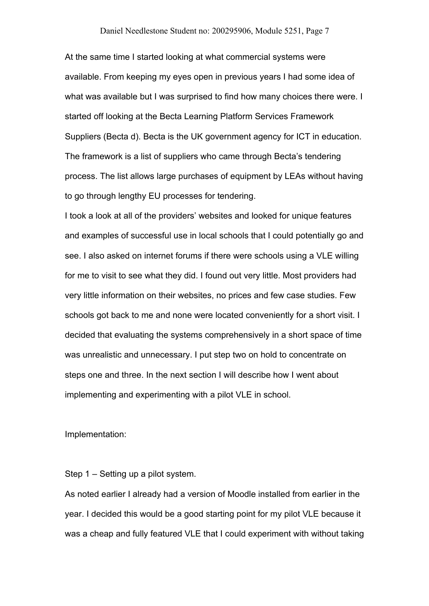At the same time I started looking at what commercial systems were available. From keeping my eyes open in previous years I had some idea of what was available but I was surprised to find how many choices there were. I started off looking at the Becta Learning Platform Services Framework Suppliers (Becta d). Becta is the UK government agency for ICT in education. The framework is a list of suppliers who came through Becta's tendering process. The list allows large purchases of equipment by LEAs without having to go through lengthy EU processes for tendering.

I took a look at all of the providers' websites and looked for unique features and examples of successful use in local schools that I could potentially go and see. I also asked on internet forums if there were schools using a VLE willing for me to visit to see what they did. I found out very little. Most providers had very little information on their websites, no prices and few case studies. Few schools got back to me and none were located conveniently for a short visit. I decided that evaluating the systems comprehensively in a short space of time was unrealistic and unnecessary. I put step two on hold to concentrate on steps one and three. In the next section I will describe how I went about implementing and experimenting with a pilot VLE in school.

Implementation:

Step 1 – Setting up a pilot system.

As noted earlier I already had a version of Moodle installed from earlier in the year. I decided this would be a good starting point for my pilot VLE because it was a cheap and fully featured VLE that I could experiment with without taking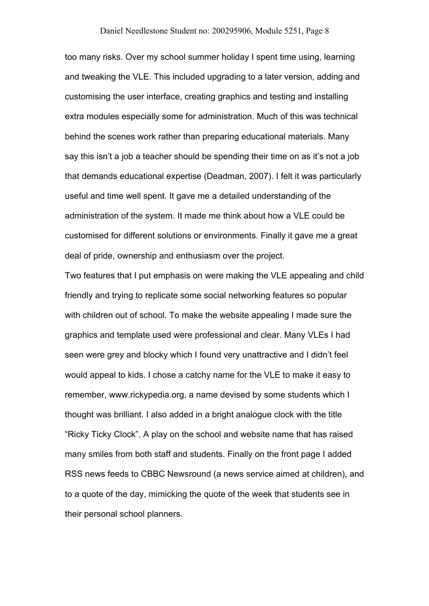too many risks. Over my school summer holiday I spent time using, learning and tweaking the VLE. This included upgrading to a later version, adding and customising the user interface, creating graphics and testing and installing extra modules especially some for administration. Much of this was technical behind the scenes work rather than preparing educational materials. Many say this isn't a job a teacher should be spending their time on as it's not a job that demands educational expertise (Deadman, 2007). I felt it was particularly useful and time well spent. It gave me a detailed understanding of the administration of the system. It made me think about how a VLE could be customised for different solutions or environments. Finally it gave me a great deal of pride, ownership and enthusiasm over the project.

Two features that I put emphasis on were making the VLE appealing and child friendly and trying to replicate some social networking features so popular with children out of school. To make the website appealing I made sure the graphics and template used were professional and clear. Many VLEs I had seen were grey and blocky which I found very unattractive and I didn't feel would appeal to kids. I chose a catchy name for the VLE to make it easy to remember, www.rickypedia.org, a name devised by some students which I thought was brilliant. I also added in a bright analogue clock with the title "Ricky Ticky Clock". A play on the school and website name that has raised many smiles from both staff and students. Finally on the front page I added RSS news feeds to CBBC Newsround (a news service aimed at children), and to a quote of the day, mimicking the quote of the week that students see in their personal school planners.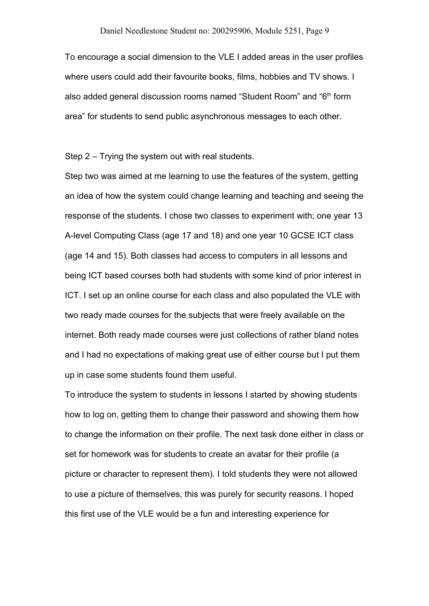To encourage a social dimension to the VLE I added areas in the user profiles where users could add their favourite books, films, hobbies and TV shows. I also added general discussion rooms named "Student Room" and "6<sup>th</sup> form area" for students to send public asynchronous messages to each other.

Step 2 – Trying the system out with real students.

Step two was aimed at me learning to use the features of the system, getting an idea of how the system could change learning and teaching and seeing the response of the students. I chose two classes to experiment with; one year 13 A-level Computing Class (age 17 and 18) and one year 10 GCSE ICT class (age 14 and 15). Both classes had access to computers in all lessons and being ICT based courses both had students with some kind of prior interest in ICT. I set up an online course for each class and also populated the VLE with two ready made courses for the subjects that were freely available on the internet. Both ready made courses were just collections of rather bland notes and I had no expectations of making great use of either course but I put them up in case some students found them useful.

To introduce the system to students in lessons I started by showing students how to log on, getting them to change their password and showing them how to change the information on their profile. The next task done either in class or set for homework was for students to create an avatar for their profile (a picture or character to represent them). I told students they were not allowed to use a picture of themselves, this was purely for security reasons. I hoped this first use of the VLE would be a fun and interesting experience for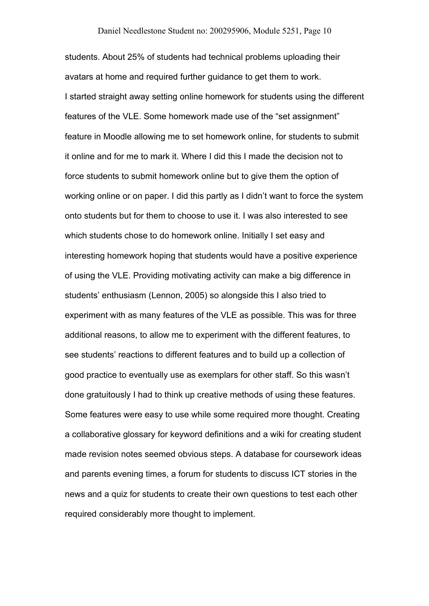students. About 25% of students had technical problems uploading their avatars at home and required further guidance to get them to work. I started straight away setting online homework for students using the different features of the VLE. Some homework made use of the "set assignment" feature in Moodle allowing me to set homework online, for students to submit it online and for me to mark it. Where I did this I made the decision not to force students to submit homework online but to give them the option of working online or on paper. I did this partly as I didn't want to force the system onto students but for them to choose to use it. I was also interested to see which students chose to do homework online. Initially I set easy and interesting homework hoping that students would have a positive experience of using the VLE. Providing motivating activity can make a big difference in students' enthusiasm (Lennon, 2005) so alongside this I also tried to experiment with as many features of the VLE as possible. This was for three additional reasons, to allow me to experiment with the different features, to see students' reactions to different features and to build up a collection of good practice to eventually use as exemplars for other staff. So this wasn't done gratuitously I had to think up creative methods of using these features. Some features were easy to use while some required more thought. Creating a collaborative glossary for keyword definitions and a wiki for creating student made revision notes seemed obvious steps. A database for coursework ideas and parents evening times, a forum for students to discuss ICT stories in the news and a quiz for students to create their own questions to test each other required considerably more thought to implement.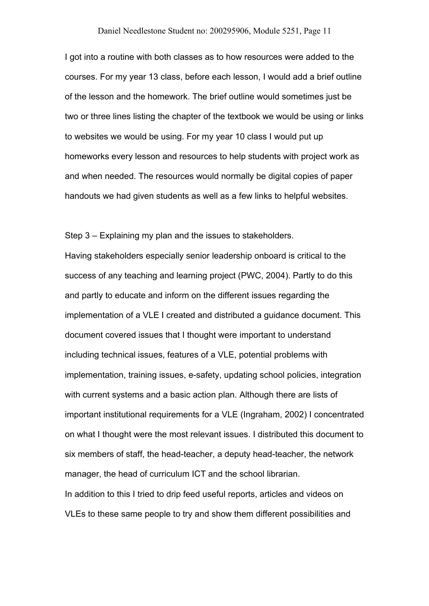I got into a routine with both classes as to how resources were added to the courses. For my year 13 class, before each lesson, I would add a brief outline of the lesson and the homework. The brief outline would sometimes just be two or three lines listing the chapter of the textbook we would be using or links to websites we would be using. For my year 10 class I would put up homeworks every lesson and resources to help students with project work as and when needed. The resources would normally be digital copies of paper handouts we had given students as well as a few links to helpful websites.

Step 3 – Explaining my plan and the issues to stakeholders. Having stakeholders especially senior leadership onboard is critical to the success of any teaching and learning project (PWC, 2004). Partly to do this and partly to educate and inform on the different issues regarding the implementation of a VLE I created and distributed a guidance document. This document covered issues that I thought were important to understand including technical issues, features of a VLE, potential problems with implementation, training issues, e-safety, updating school policies, integration with current systems and a basic action plan. Although there are lists of important institutional requirements for a VLE (Ingraham, 2002) I concentrated on what I thought were the most relevant issues. I distributed this document to six members of staff, the head-teacher, a deputy head-teacher, the network manager, the head of curriculum ICT and the school librarian. In addition to this I tried to drip feed useful reports, articles and videos on VLEs to these same people to try and show them different possibilities and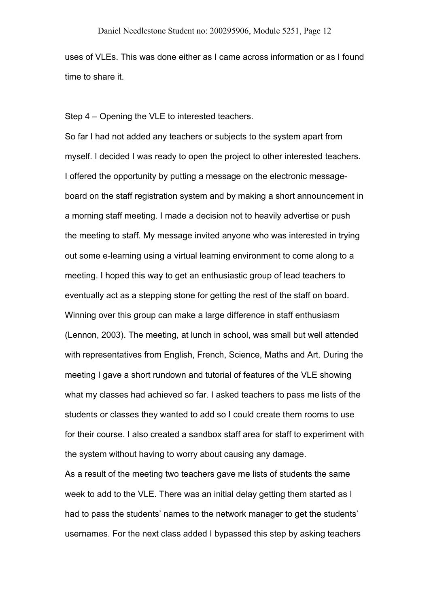uses of VLEs. This was done either as I came across information or as I found time to share it.

Step 4 – Opening the VLE to interested teachers.

So far I had not added any teachers or subjects to the system apart from myself. I decided I was ready to open the project to other interested teachers. I offered the opportunity by putting a message on the electronic messageboard on the staff registration system and by making a short announcement in a morning staff meeting. I made a decision not to heavily advertise or push the meeting to staff. My message invited anyone who was interested in trying out some e-learning using a virtual learning environment to come along to a meeting. I hoped this way to get an enthusiastic group of lead teachers to eventually act as a stepping stone for getting the rest of the staff on board. Winning over this group can make a large difference in staff enthusiasm (Lennon, 2003). The meeting, at lunch in school, was small but well attended with representatives from English, French, Science, Maths and Art. During the meeting I gave a short rundown and tutorial of features of the VLE showing what my classes had achieved so far. I asked teachers to pass me lists of the students or classes they wanted to add so I could create them rooms to use for their course. I also created a sandbox staff area for staff to experiment with the system without having to worry about causing any damage.

As a result of the meeting two teachers gave me lists of students the same week to add to the VLE. There was an initial delay getting them started as I had to pass the students' names to the network manager to get the students' usernames. For the next class added I bypassed this step by asking teachers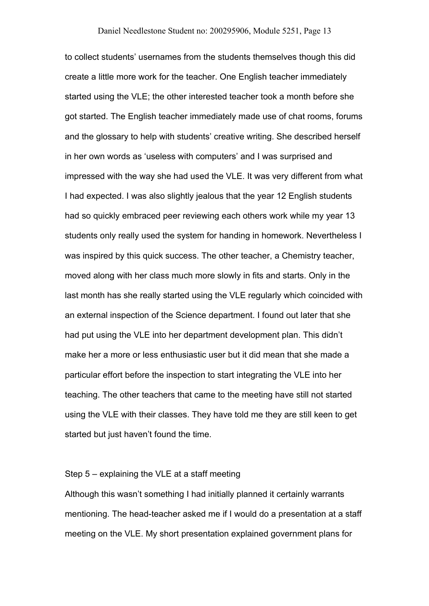to collect students' usernames from the students themselves though this did create a little more work for the teacher. One English teacher immediately started using the VLE; the other interested teacher took a month before she got started. The English teacher immediately made use of chat rooms, forums and the glossary to help with students' creative writing. She described herself in her own words as 'useless with computers' and I was surprised and impressed with the way she had used the VLE. It was very different from what I had expected. I was also slightly jealous that the year 12 English students had so quickly embraced peer reviewing each others work while my year 13 students only really used the system for handing in homework. Nevertheless I was inspired by this quick success. The other teacher, a Chemistry teacher, moved along with her class much more slowly in fits and starts. Only in the last month has she really started using the VLE regularly which coincided with an external inspection of the Science department. I found out later that she had put using the VLE into her department development plan. This didn't make her a more or less enthusiastic user but it did mean that she made a particular effort before the inspection to start integrating the VLE into her teaching. The other teachers that came to the meeting have still not started using the VLE with their classes. They have told me they are still keen to get started but just haven't found the time.

## Step 5 – explaining the VLE at a staff meeting

Although this wasn't something I had initially planned it certainly warrants mentioning. The head-teacher asked me if I would do a presentation at a staff meeting on the VLE. My short presentation explained government plans for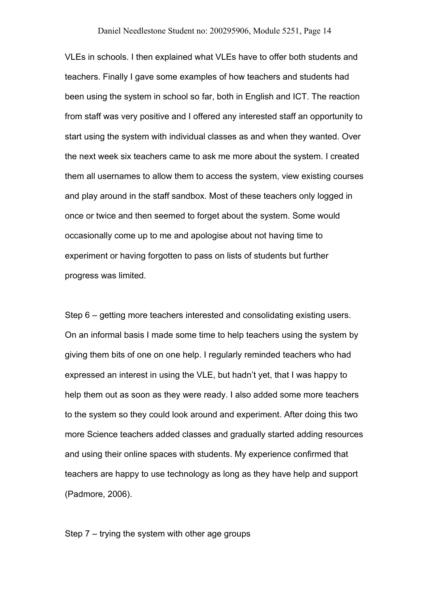VLEs in schools. I then explained what VLEs have to offer both students and teachers. Finally I gave some examples of how teachers and students had been using the system in school so far, both in English and ICT. The reaction from staff was very positive and I offered any interested staff an opportunity to start using the system with individual classes as and when they wanted. Over the next week six teachers came to ask me more about the system. I created them all usernames to allow them to access the system, view existing courses and play around in the staff sandbox. Most of these teachers only logged in once or twice and then seemed to forget about the system. Some would occasionally come up to me and apologise about not having time to experiment or having forgotten to pass on lists of students but further progress was limited.

Step 6 – getting more teachers interested and consolidating existing users. On an informal basis I made some time to help teachers using the system by giving them bits of one on one help. I regularly reminded teachers who had expressed an interest in using the VLE, but hadn't yet, that I was happy to help them out as soon as they were ready. I also added some more teachers to the system so they could look around and experiment. After doing this two more Science teachers added classes and gradually started adding resources and using their online spaces with students. My experience confirmed that teachers are happy to use technology as long as they have help and support (Padmore, 2006).

Step 7 – trying the system with other age groups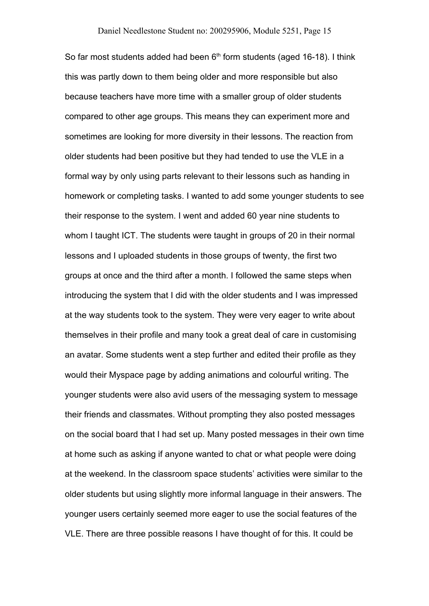So far most students added had been 6<sup>th</sup> form students (aged 16-18). I think this was partly down to them being older and more responsible but also because teachers have more time with a smaller group of older students compared to other age groups. This means they can experiment more and sometimes are looking for more diversity in their lessons. The reaction from older students had been positive but they had tended to use the VLE in a formal way by only using parts relevant to their lessons such as handing in homework or completing tasks. I wanted to add some younger students to see their response to the system. I went and added 60 year nine students to whom I taught ICT. The students were taught in groups of 20 in their normal lessons and I uploaded students in those groups of twenty, the first two groups at once and the third after a month. I followed the same steps when introducing the system that I did with the older students and I was impressed at the way students took to the system. They were very eager to write about themselves in their profile and many took a great deal of care in customising an avatar. Some students went a step further and edited their profile as they would their Myspace page by adding animations and colourful writing. The younger students were also avid users of the messaging system to message their friends and classmates. Without prompting they also posted messages on the social board that I had set up. Many posted messages in their own time at home such as asking if anyone wanted to chat or what people were doing at the weekend. In the classroom space students' activities were similar to the older students but using slightly more informal language in their answers. The younger users certainly seemed more eager to use the social features of the VLE. There are three possible reasons I have thought of for this. It could be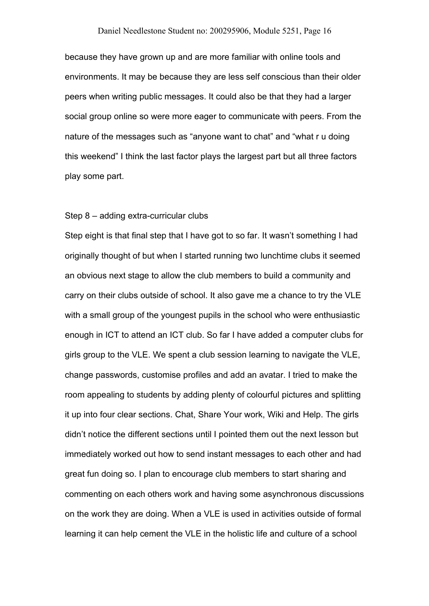because they have grown up and are more familiar with online tools and environments. It may be because they are less self conscious than their older peers when writing public messages. It could also be that they had a larger social group online so were more eager to communicate with peers. From the nature of the messages such as "anyone want to chat" and "what r u doing this weekend" I think the last factor plays the largest part but all three factors play some part.

## Step 8 – adding extra-curricular clubs

Step eight is that final step that I have got to so far. It wasn't something I had originally thought of but when I started running two lunchtime clubs it seemed an obvious next stage to allow the club members to build a community and carry on their clubs outside of school. It also gave me a chance to try the VLE with a small group of the youngest pupils in the school who were enthusiastic enough in ICT to attend an ICT club. So far I have added a computer clubs for girls group to the VLE. We spent a club session learning to navigate the VLE, change passwords, customise profiles and add an avatar. I tried to make the room appealing to students by adding plenty of colourful pictures and splitting it up into four clear sections. Chat, Share Your work, Wiki and Help. The girls didn't notice the different sections until I pointed them out the next lesson but immediately worked out how to send instant messages to each other and had great fun doing so. I plan to encourage club members to start sharing and commenting on each others work and having some asynchronous discussions on the work they are doing. When a VLE is used in activities outside of formal learning it can help cement the VLE in the holistic life and culture of a school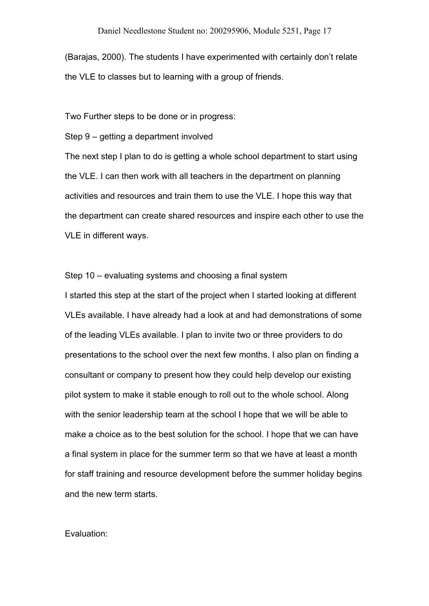(Barajas, 2000). The students I have experimented with certainly don't relate the VLE to classes but to learning with a group of friends.

Two Further steps to be done or in progress:

Step 9 – getting a department involved

The next step I plan to do is getting a whole school department to start using the VLE. I can then work with all teachers in the department on planning activities and resources and train them to use the VLE. I hope this way that the department can create shared resources and inspire each other to use the VLE in different ways.

Step 10 – evaluating systems and choosing a final system

I started this step at the start of the project when I started looking at different VLEs available. I have already had a look at and had demonstrations of some of the leading VLEs available. I plan to invite two or three providers to do presentations to the school over the next few months. I also plan on finding a consultant or company to present how they could help develop our existing pilot system to make it stable enough to roll out to the whole school. Along with the senior leadership team at the school I hope that we will be able to make a choice as to the best solution for the school. I hope that we can have a final system in place for the summer term so that we have at least a month for staff training and resource development before the summer holiday begins and the new term starts.

## Evaluation: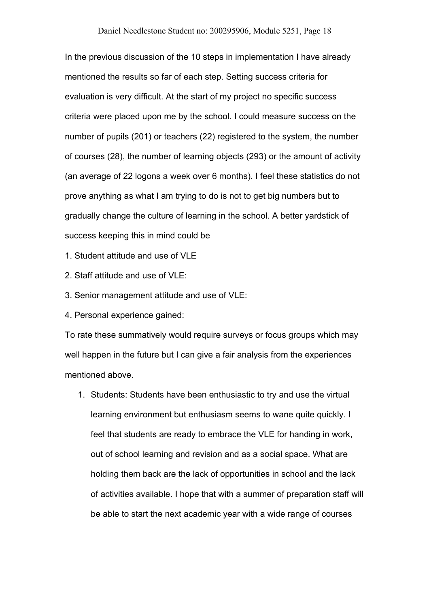In the previous discussion of the 10 steps in implementation I have already mentioned the results so far of each step. Setting success criteria for evaluation is very difficult. At the start of my project no specific success criteria were placed upon me by the school. I could measure success on the number of pupils (201) or teachers (22) registered to the system, the number of courses (28), the number of learning objects (293) or the amount of activity (an average of 22 logons a week over 6 months). I feel these statistics do not prove anything as what I am trying to do is not to get big numbers but to gradually change the culture of learning in the school. A better yardstick of success keeping this in mind could be

1. Student attitude and use of VLE

2. Staff attitude and use of VLE:

3. Senior management attitude and use of VLE:

4. Personal experience gained:

To rate these summatively would require surveys or focus groups which may well happen in the future but I can give a fair analysis from the experiences mentioned above.

1. Students: Students have been enthusiastic to try and use the virtual learning environment but enthusiasm seems to wane quite quickly. I feel that students are ready to embrace the VLE for handing in work, out of school learning and revision and as a social space. What are holding them back are the lack of opportunities in school and the lack of activities available. I hope that with a summer of preparation staff will be able to start the next academic year with a wide range of courses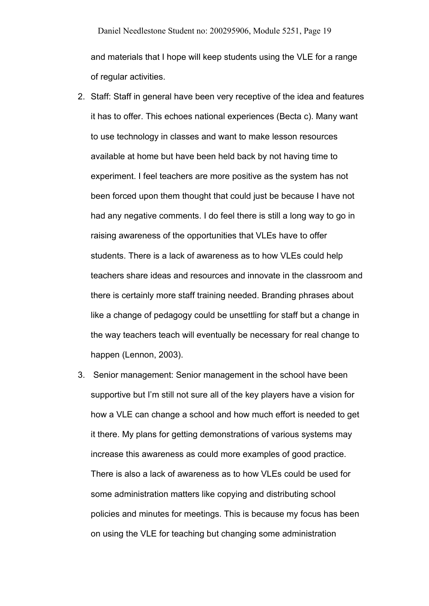and materials that I hope will keep students using the VLE for a range of regular activities.

- 2. Staff: Staff in general have been very receptive of the idea and features it has to offer. This echoes national experiences (Becta c). Many want to use technology in classes and want to make lesson resources available at home but have been held back by not having time to experiment. I feel teachers are more positive as the system has not been forced upon them thought that could just be because I have not had any negative comments. I do feel there is still a long way to go in raising awareness of the opportunities that VLEs have to offer students. There is a lack of awareness as to how VLEs could help teachers share ideas and resources and innovate in the classroom and there is certainly more staff training needed. Branding phrases about like a change of pedagogy could be unsettling for staff but a change in the way teachers teach will eventually be necessary for real change to happen (Lennon, 2003).
- 3. Senior management: Senior management in the school have been supportive but I'm still not sure all of the key players have a vision for how a VLE can change a school and how much effort is needed to get it there. My plans for getting demonstrations of various systems may increase this awareness as could more examples of good practice. There is also a lack of awareness as to how VLEs could be used for some administration matters like copying and distributing school policies and minutes for meetings. This is because my focus has been on using the VLE for teaching but changing some administration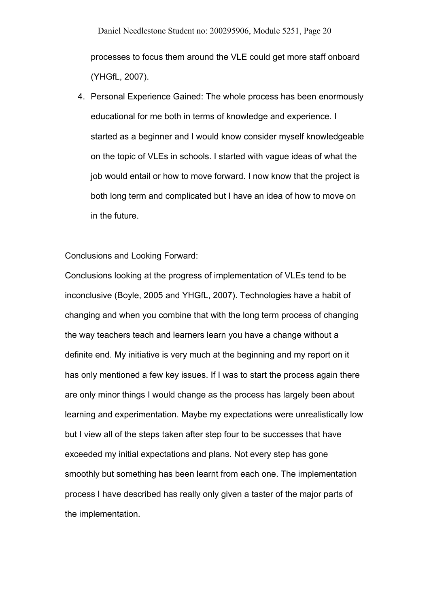Daniel Needlestone Student no: 200295906, Module 5251, Page 20 processes to focus them around the VLE could get more staff onboard (YHGfL, 2007).

4. Personal Experience Gained: The whole process has been enormously educational for me both in terms of knowledge and experience. I started as a beginner and I would know consider myself knowledgeable on the topic of VLEs in schools. I started with vague ideas of what the job would entail or how to move forward. I now know that the project is both long term and complicated but I have an idea of how to move on in the future.

Conclusions and Looking Forward:

Conclusions looking at the progress of implementation of VLEs tend to be inconclusive (Boyle, 2005 and YHGfL, 2007). Technologies have a habit of changing and when you combine that with the long term process of changing the way teachers teach and learners learn you have a change without a definite end. My initiative is very much at the beginning and my report on it has only mentioned a few key issues. If I was to start the process again there are only minor things I would change as the process has largely been about learning and experimentation. Maybe my expectations were unrealistically low but I view all of the steps taken after step four to be successes that have exceeded my initial expectations and plans. Not every step has gone smoothly but something has been learnt from each one. The implementation process I have described has really only given a taster of the major parts of the implementation.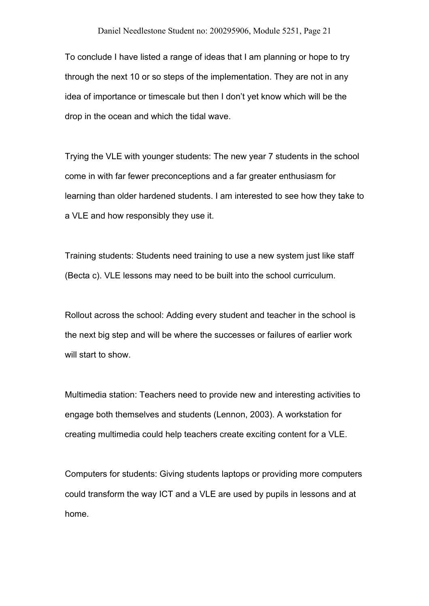To conclude I have listed a range of ideas that I am planning or hope to try through the next 10 or so steps of the implementation. They are not in any idea of importance or timescale but then I don't yet know which will be the drop in the ocean and which the tidal wave.

Trying the VLE with younger students: The new year 7 students in the school come in with far fewer preconceptions and a far greater enthusiasm for learning than older hardened students. I am interested to see how they take to a VLE and how responsibly they use it.

Training students: Students need training to use a new system just like staff (Becta c). VLE lessons may need to be built into the school curriculum.

Rollout across the school: Adding every student and teacher in the school is the next big step and will be where the successes or failures of earlier work will start to show.

Multimedia station: Teachers need to provide new and interesting activities to engage both themselves and students (Lennon, 2003). A workstation for creating multimedia could help teachers create exciting content for a VLE.

Computers for students: Giving students laptops or providing more computers could transform the way ICT and a VLE are used by pupils in lessons and at home.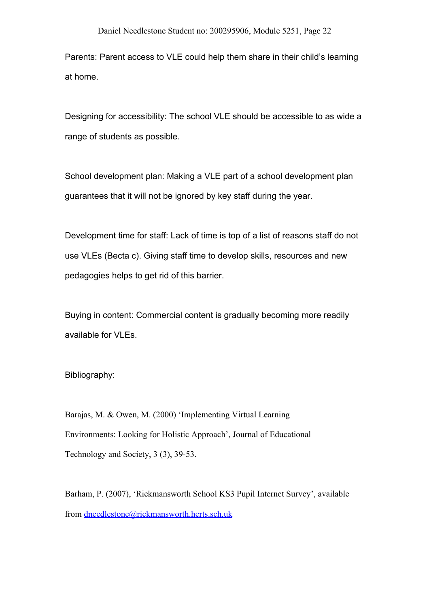Parents: Parent access to VLE could help them share in their child's learning at home.

Designing for accessibility: The school VLE should be accessible to as wide a range of students as possible.

School development plan: Making a VLE part of a school development plan guarantees that it will not be ignored by key staff during the year.

Development time for staff: Lack of time is top of a list of reasons staff do not use VLEs (Becta c). Giving staff time to develop skills, resources and new pedagogies helps to get rid of this barrier.

Buying in content: Commercial content is gradually becoming more readily available for VLEs.

Bibliography:

Barajas, M. & Owen, M. (2000) 'Implementing Virtual Learning Environments: Looking for Holistic Approach', Journal of Educational Technology and Society, 3 (3), 39-53.

Barham, P. (2007), 'Rickmansworth School KS3 Pupil Internet Survey', available from [dneedlestone@rickmansworth.herts.sch.uk](mailto:dneedlestone@rickmansworth.herts.sch.uk)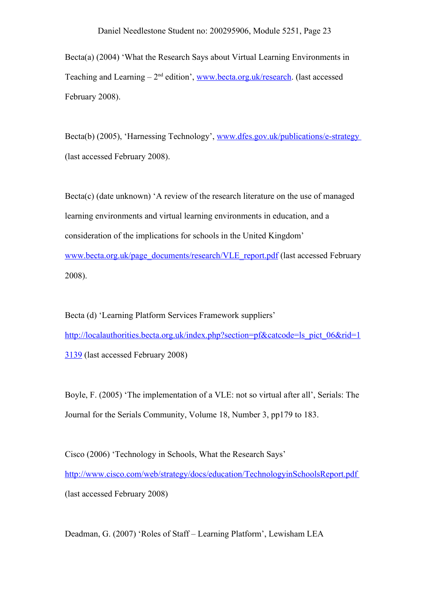Becta(a) (2004) 'What the Research Says about Virtual Learning Environments in Teaching and Learning – 2<sup>nd</sup> edition', [www.becta.org.uk/research](http://www.becta.org.uk/research). (last accessed February 2008).

Becta(b) (2005), 'Harnessing Technology', [www.dfes.gov.uk/publications/e-strategy](http://www.dfes.gov.uk/publications/e-strategy) (last accessed February 2008).

 $Becta(c)$  (date unknown) 'A review of the research literature on the use of managed learning environments and virtual learning environments in education, and a consideration of the implications for schools in the United Kingdom' [www.becta.org.uk/page\\_documents/research/VLE\\_report.pdf](http://www.becta.org.uk/page_documents/research/VLE_report.pdf) (last accessed February 2008).

Becta (d) 'Learning Platform Services Framework suppliers' [http://localauthorities.becta.org.uk/index.php?section=pf&catcode=ls\\_pict\\_06&rid=1](http://localauthorities.becta.org.uk/index.php?section=pf&catcode=ls_pict_06&rid=13139) [3139](http://localauthorities.becta.org.uk/index.php?section=pf&catcode=ls_pict_06&rid=13139) (last accessed February 2008)

Boyle, F. (2005) 'The implementation of a VLE: not so virtual after all', Serials: The Journal for the Serials Community, Volume 18, Number 3, pp179 to 183.

Cisco (2006) 'Technology in Schools, What the Research Says' <http://www.cisco.com/web/strategy/docs/education/TechnologyinSchoolsReport.pdf> (last accessed February 2008)

Deadman, G. (2007) 'Roles of Staff – Learning Platform', Lewisham LEA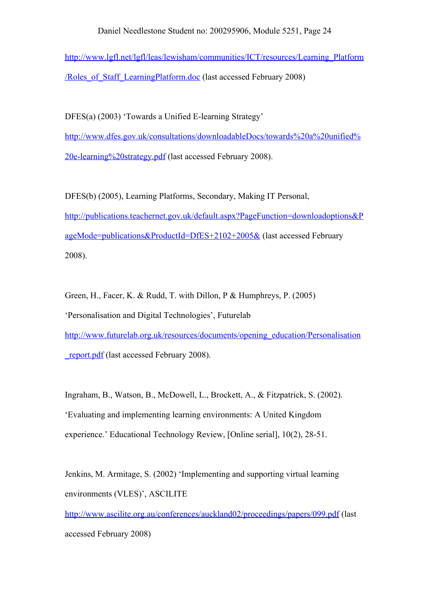[http://www.lgfl.net/lgfl/leas/lewisham/communities/ICT/resources/Learning\\_Platform](http://www.lgfl.net/lgfl/leas/lewisham/communities/ICT/resources/Learning_Platform/Roles_of_Staff_LearningPlatform.doc) [/Roles\\_of\\_Staff\\_LearningPlatform.doc](http://www.lgfl.net/lgfl/leas/lewisham/communities/ICT/resources/Learning_Platform/Roles_of_Staff_LearningPlatform.doc) (last accessed February 2008)

DFES(a) (2003) 'Towards a Unified E-learning Strategy' [http://www.dfes.gov.uk/consultations/downloadableDocs/towards%20a%20unified%](http://www.dfes.gov.uk/consultations/downloadableDocs/towards a unified e-learning strategy.pdf) [20e-learning%20strategy.pdf](http://www.dfes.gov.uk/consultations/downloadableDocs/towards a unified e-learning strategy.pdf) (last accessed February 2008).

DFES(b) (2005), Learning Platforms, Secondary, Making IT Personal, [http://publications.teachernet.gov.uk/default.aspx?PageFunction=downloadoptions&P](http://publications.teachernet.gov.uk/default.aspx?PageFunction=downloadoptions&PageMode=publications&ProductId=DfES+2102+2005&) [ageMode=publications&ProductId=DfES+2102+2005&](http://publications.teachernet.gov.uk/default.aspx?PageFunction=downloadoptions&PageMode=publications&ProductId=DfES+2102+2005&) (last accessed February 2008).

Green, H., Facer, K. & Rudd, T. with Dillon, P & Humphreys, P. (2005) 'Personalisation and Digital Technologies', Futurelab [http://www.futurelab.org.uk/resources/documents/opening\\_education/Personalisation](http://www.futurelab.org.uk/resources/documents/opening_education/Personalisation_report.pdf) report.pdf (last accessed February 2008).

Ingraham, B., Watson, B., McDowell, L., Brockett, A., & Fitzpatrick, S. (2002). 'Evaluating and implementing learning environments: A United Kingdom experience.' Educational Technology Review, [Online serial], 10(2), 28-51.

Jenkins, M. Armitage, S. (2002) 'Implementing and supporting virtual learning environments (VLES)', ASCILITE

<http://www.ascilite.org.au/conferences/auckland02/proceedings/papers/099.pdf>(last accessed February 2008)